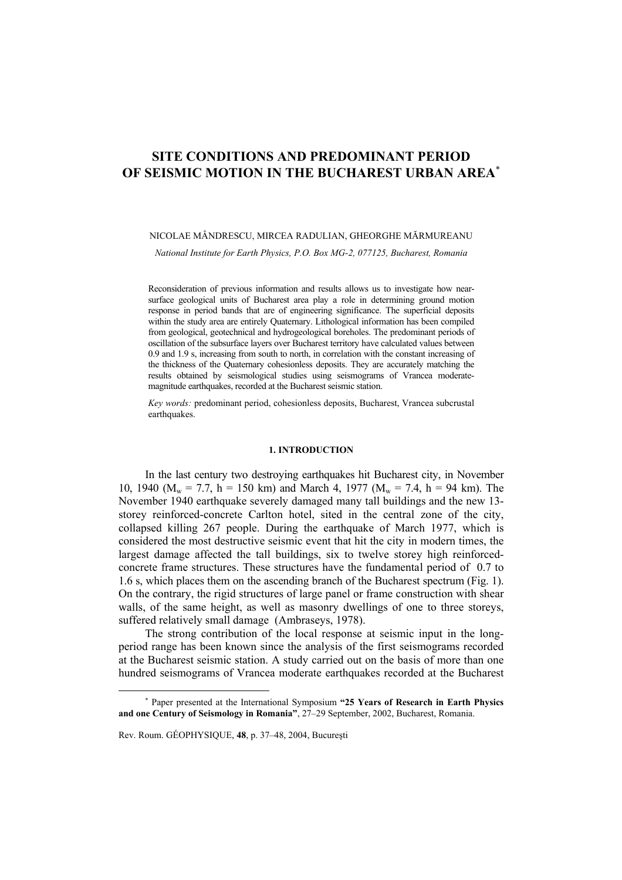# **SITE CONDITIONS AND PREDOMINANT PERIOD OF SEISMIC MOTION IN THE BUCHAREST URBAN AREA**<sup>∗</sup>

## NICOLAE MÂNDRESCU, MIRCEA RADULIAN, GHEORGHE MĂRMUREANU

*National Institute for Earth Physics, P.O. Box MG-2, 077125, Bucharest, Romania*

Reconsideration of previous information and results allows us to investigate how nearsurface geological units of Bucharest area play a role in determining ground motion response in period bands that are of engineering significance. The superficial deposits within the study area are entirely Quaternary. Lithological information has been compiled from geological, geotechnical and hydrogeological boreholes. The predominant periods of oscillation of the subsurface layers over Bucharest territory have calculated values between 0.9 and 1.9 s, increasing from south to north, in correlation with the constant increasing of the thickness of the Quaternary cohesionless deposits. They are accurately matching the results obtained by seismological studies using seismograms of Vrancea moderatemagnitude earthquakes, recorded at the Bucharest seismic station.

*Key words:* predominant period, cohesionless deposits, Bucharest, Vrancea subcrustal earthquakes.

#### **1. INTRODUCTION**

In the last century two destroying earthquakes hit Bucharest city, in November 10, 1940 ( $M_w = 7.7$ , h = 150 km) and March 4, 1977 ( $M_w = 7.4$ , h = 94 km). The November 1940 earthquake severely damaged many tall buildings and the new 13 storey reinforced-concrete Carlton hotel, sited in the central zone of the city, collapsed killing 267 people. During the earthquake of March 1977, which is considered the most destructive seismic event that hit the city in modern times, the largest damage affected the tall buildings, six to twelve storey high reinforcedconcrete frame structures. These structures have the fundamental period of 0.7 to 1.6 s, which places them on the ascending branch of the Bucharest spectrum (Fig. 1). On the contrary, the rigid structures of large panel or frame construction with shear walls, of the same height, as well as masonry dwellings of one to three storeys, suffered relatively small damage (Ambraseys, 1978).

The strong contribution of the local response at seismic input in the longperiod range has been known since the analysis of the first seismograms recorded at the Bucharest seismic station. A study carried out on the basis of more than one hundred seismograms of Vrancea moderate earthquakes recorded at the Bucharest

 $\overline{a}$ 

<sup>∗</sup> Paper presented at the International Symposium **"25 Years of Research in Earth Physics and one Century of Seismology in Romania"**, 27–29 September, 2002, Bucharest, Romania.

Rev. Roum. GÉOPHYSIQUE, **48**, p. 37–48, 2004, Bucureşti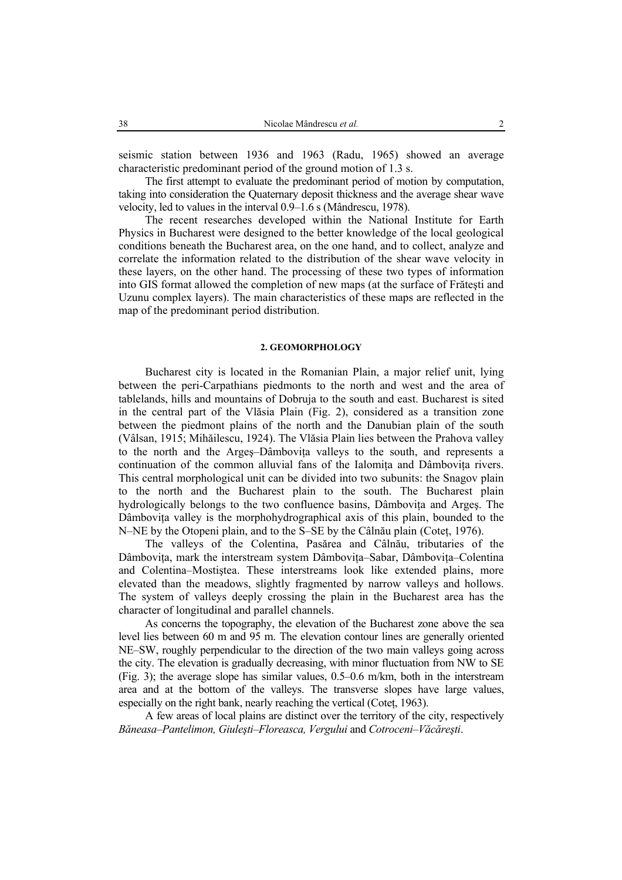seismic station between 1936 and 1963 (Radu, 1965) showed an average characteristic predominant period of the ground motion of 1.3 s.

The first attempt to evaluate the predominant period of motion by computation, taking into consideration the Quaternary deposit thickness and the average shear wave velocity, led to values in the interval 0.9–1.6 s (Mândrescu, 1978).

The recent researches developed within the National Institute for Earth Physics in Bucharest were designed to the better knowledge of the local geological conditions beneath the Bucharest area, on the one hand, and to collect, analyze and correlate the information related to the distribution of the shear wave velocity in these layers, on the other hand. The processing of these two types of information into GIS format allowed the completion of new maps (at the surface of Frăteşti and Uzunu complex layers). The main characteristics of these maps are reflected in the map of the predominant period distribution.

## **2. GEOMORPHOLOGY**

Bucharest city is located in the Romanian Plain, a major relief unit, lying between the peri-Carpathians piedmonts to the north and west and the area of tablelands, hills and mountains of Dobruja to the south and east. Bucharest is sited in the central part of the Vlăsia Plain (Fig. 2), considered as a transition zone between the piedmont plains of the north and the Danubian plain of the south (Vâlsan, 1915; Mihăilescu, 1924). The Vlăsia Plain lies between the Prahova valley to the north and the Arges–Dâmbovita valleys to the south, and represents a continuation of the common alluvial fans of the Ialomita and Dâmbovita rivers. This central morphological unit can be divided into two subunits: the Snagov plain to the north and the Bucharest plain to the south. The Bucharest plain hydrologically belongs to the two confluence basins, Dâmbovita and Arges. The Dâmboviţa valley is the morphohydrographical axis of this plain, bounded to the N–NE by the Otopeni plain, and to the S–SE by the Câlnău plain (Coteţ, 1976).

The valleys of the Colentina, Pasărea and Câlnău, tributaries of the Dâmbovita, mark the interstream system Dâmbovita–Sabar, Dâmbovita–Colentina and Colentina–Mostiştea. These interstreams look like extended plains, more elevated than the meadows, slightly fragmented by narrow valleys and hollows. The system of valleys deeply crossing the plain in the Bucharest area has the character of longitudinal and parallel channels.

As concerns the topography, the elevation of the Bucharest zone above the sea level lies between 60 m and 95 m. The elevation contour lines are generally oriented NE–SW, roughly perpendicular to the direction of the two main valleys going across the city. The elevation is gradually decreasing, with minor fluctuation from NW to SE (Fig. 3); the average slope has similar values, 0.5–0.6 m/km, both in the interstream area and at the bottom of the valleys. The transverse slopes have large values, especially on the right bank, nearly reaching the vertical (Coteţ, 1963).

A few areas of local plains are distinct over the territory of the city, respectively *Băneasa–Pantelimon, Giuleşti–Floreasca, Vergului* and *Cotroceni–Văcăreşti*.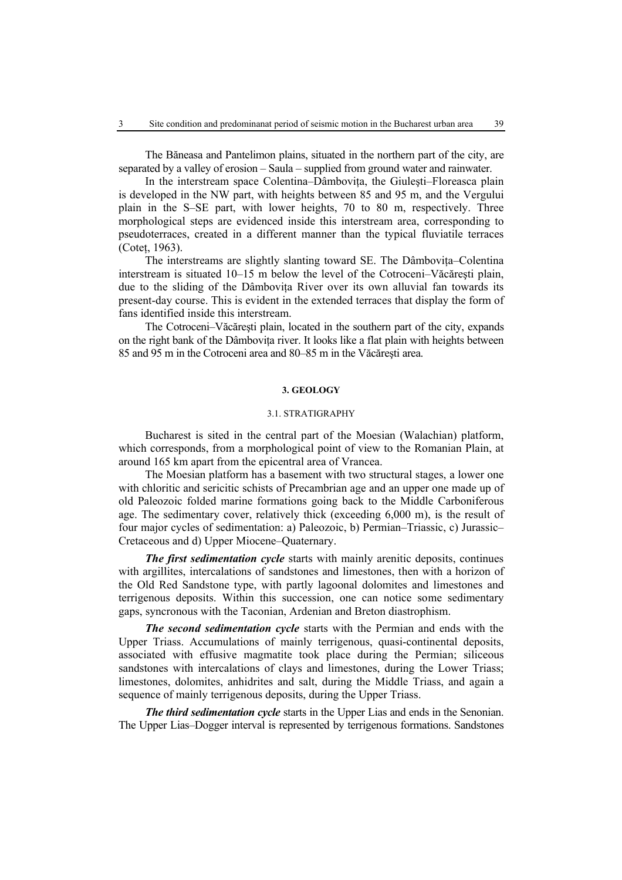The Băneasa and Pantelimon plains, situated in the northern part of the city, are separated by a valley of erosion – Saula – supplied from ground water and rainwater.

In the interstream space Colentina–Dâmbovita, the Giulesti–Floreasca plain is developed in the NW part, with heights between 85 and 95 m, and the Vergului plain in the S–SE part, with lower heights, 70 to 80 m, respectively. Three morphological steps are evidenced inside this interstream area, corresponding to pseudoterraces, created in a different manner than the typical fluviatile terraces (Coteţ, 1963).

The interstreams are slightly slanting toward SE. The Dâmbovita–Colentina interstream is situated 10–15 m below the level of the Cotroceni–Văcăreşti plain, due to the sliding of the Dâmbovita River over its own alluvial fan towards its present-day course. This is evident in the extended terraces that display the form of fans identified inside this interstream.

The Cotroceni–Văcăreşti plain, located in the southern part of the city, expands on the right bank of the Dâmbovita river. It looks like a flat plain with heights between 85 and 95 m in the Cotroceni area and 80–85 m in the Văcăreşti area.

#### **3. GEOLOGY**

### 3.1. STRATIGRAPHY

Bucharest is sited in the central part of the Moesian (Walachian) platform, which corresponds, from a morphological point of view to the Romanian Plain, at around 165 km apart from the epicentral area of Vrancea.

The Moesian platform has a basement with two structural stages, a lower one with chloritic and sericitic schists of Precambrian age and an upper one made up of old Paleozoic folded marine formations going back to the Middle Carboniferous age. The sedimentary cover, relatively thick (exceeding 6,000 m), is the result of four major cycles of sedimentation: a) Paleozoic, b) Permian–Triassic, c) Jurassic– Cretaceous and d) Upper Miocene–Quaternary.

*The first sedimentation cycle* starts with mainly arenitic deposits, continues with argillites, intercalations of sandstones and limestones, then with a horizon of the Old Red Sandstone type, with partly lagoonal dolomites and limestones and terrigenous deposits. Within this succession, one can notice some sedimentary gaps, syncronous with the Taconian, Ardenian and Breton diastrophism.

*The second sedimentation cycle* starts with the Permian and ends with the Upper Triass. Accumulations of mainly terrigenous, quasi-continental deposits, associated with effusive magmatite took place during the Permian; siliceous sandstones with intercalations of clays and limestones, during the Lower Triass; limestones, dolomites, anhidrites and salt, during the Middle Triass, and again a sequence of mainly terrigenous deposits, during the Upper Triass.

*The third sedimentation cycle* starts in the Upper Lias and ends in the Senonian. The Upper Lias–Dogger interval is represented by terrigenous formations. Sandstones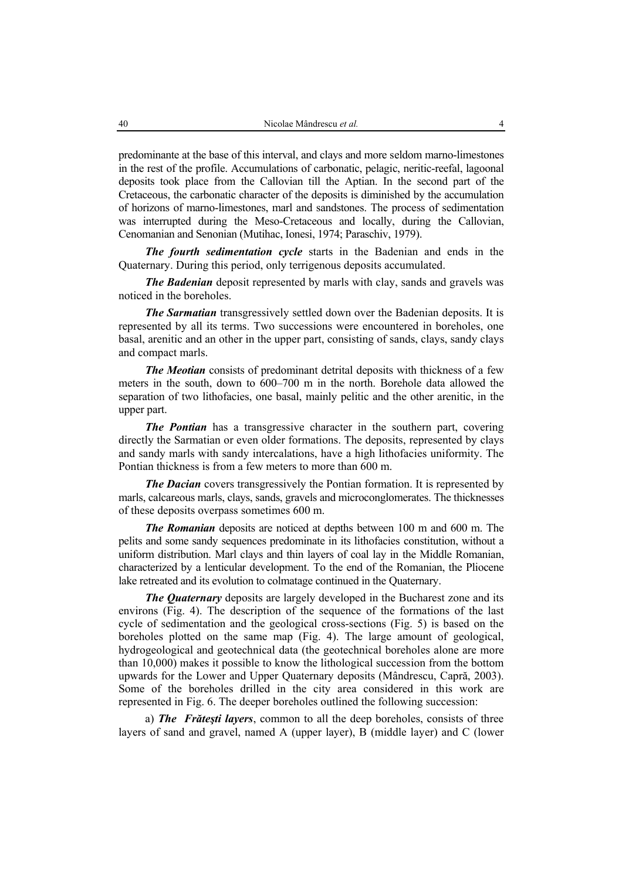predominante at the base of this interval, and clays and more seldom marno-limestones in the rest of the profile. Accumulations of carbonatic, pelagic, neritic-reefal, lagoonal deposits took place from the Callovian till the Aptian. In the second part of the Cretaceous, the carbonatic character of the deposits is diminished by the accumulation of horizons of marno-limestones, marl and sandstones. The process of sedimentation was interrupted during the Meso-Cretaceous and locally, during the Callovian, Cenomanian and Senonian (Mutihac, Ionesi, 1974; Paraschiv, 1979).

*The fourth sedimentation cycle* starts in the Badenian and ends in the Quaternary. During this period, only terrigenous deposits accumulated.

*The Badenian* deposit represented by marls with clay, sands and gravels was noticed in the boreholes.

*The Sarmatian* transgressively settled down over the Badenian deposits. It is represented by all its terms. Two successions were encountered in boreholes, one basal, arenitic and an other in the upper part, consisting of sands, clays, sandy clays and compact marls.

*The Meotian* consists of predominant detrital deposits with thickness of a few meters in the south, down to 600–700 m in the north. Borehole data allowed the separation of two lithofacies, one basal, mainly pelitic and the other arenitic, in the upper part.

*The Pontian* has a transgressive character in the southern part, covering directly the Sarmatian or even older formations. The deposits, represented by clays and sandy marls with sandy intercalations, have a high lithofacies uniformity. The Pontian thickness is from a few meters to more than 600 m.

*The Dacian* covers transgressively the Pontian formation. It is represented by marls, calcareous marls, clays, sands, gravels and microconglomerates. The thicknesses of these deposits overpass sometimes 600 m.

*The Romanian* deposits are noticed at depths between 100 m and 600 m. The pelits and some sandy sequences predominate in its lithofacies constitution, without a uniform distribution. Marl clays and thin layers of coal lay in the Middle Romanian, characterized by a lenticular development. To the end of the Romanian, the Pliocene lake retreated and its evolution to colmatage continued in the Quaternary.

*The Quaternary* deposits are largely developed in the Bucharest zone and its environs (Fig. 4). The description of the sequence of the formations of the last cycle of sedimentation and the geological cross-sections (Fig. 5) is based on the boreholes plotted on the same map (Fig. 4). The large amount of geological, hydrogeological and geotechnical data (the geotechnical boreholes alone are more than 10,000) makes it possible to know the lithological succession from the bottom upwards for the Lower and Upper Quaternary deposits (Mândrescu, Capră, 2003). Some of the boreholes drilled in the city area considered in this work are represented in Fig. 6. The deeper boreholes outlined the following succession:

a) *The Frăteşti layers*, common to all the deep boreholes, consists of three layers of sand and gravel, named A (upper layer), B (middle layer) and C (lower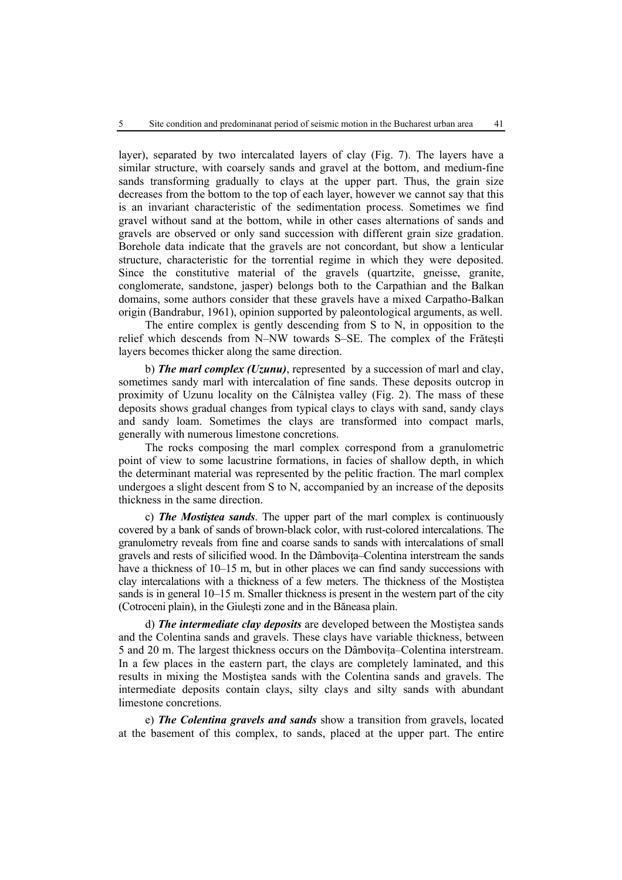layer), separated by two intercalated layers of clay (Fig. 7). The layers have a similar structure, with coarsely sands and gravel at the bottom, and medium-fine sands transforming gradually to clays at the upper part. Thus, the grain size decreases from the bottom to the top of each layer, however we cannot say that this is an invariant characteristic of the sedimentation process. Sometimes we find gravel without sand at the bottom, while in other cases alternations of sands and gravels are observed or only sand succession with different grain size gradation. Borehole data indicate that the gravels are not concordant, but show a lenticular structure, characteristic for the torrential regime in which they were deposited. Since the constitutive material of the gravels (quartzite, gneisse, granite, conglomerate, sandstone, jasper) belongs both to the Carpathian and the Balkan domains, some authors consider that these gravels have a mixed Carpatho-Balkan origin (Bandrabur, 1961), opinion supported by paleontological arguments, as well.

The entire complex is gently descending from S to N, in opposition to the relief which descends from N–NW towards S–SE. The complex of the Frăteşti layers becomes thicker along the same direction.

b) *The marl complex (Uzunu)*, represented by a succession of marl and clay, sometimes sandy marl with intercalation of fine sands. These deposits outcrop in proximity of Uzunu locality on the Câlniştea valley (Fig. 2). The mass of these deposits shows gradual changes from typical clays to clays with sand, sandy clays and sandy loam. Sometimes the clays are transformed into compact marls, generally with numerous limestone concretions.

The rocks composing the marl complex correspond from a granulometric point of view to some lacustrine formations, in facies of shallow depth, in which the determinant material was represented by the pelitic fraction. The marl complex undergoes a slight descent from S to N, accompanied by an increase of the deposits thickness in the same direction.

c) *The Mostiştea sands*. The upper part of the marl complex is continuously covered by a bank of sands of brown-black color, with rust-colored intercalations. The granulometry reveals from fine and coarse sands to sands with intercalations of small gravels and rests of silicified wood. In the Dâmbovita–Colentina interstream the sands have a thickness of 10–15 m, but in other places we can find sandy successions with clay intercalations with a thickness of a few meters. The thickness of the Mostiştea sands is in general 10–15 m. Smaller thickness is present in the western part of the city (Cotroceni plain), in the Giuleşti zone and in the Băneasa plain.

d) *The intermediate clay deposits* are developed between the Mostiştea sands and the Colentina sands and gravels. These clays have variable thickness, between 5 and 20 m. The largest thickness occurs on the Dâmbovita–Colentina interstream. In a few places in the eastern part, the clays are completely laminated, and this results in mixing the Mostiştea sands with the Colentina sands and gravels. The intermediate deposits contain clays, silty clays and silty sands with abundant limestone concretions.

e) *The Colentina gravels and sands* show a transition from gravels, located at the basement of this complex, to sands, placed at the upper part. The entire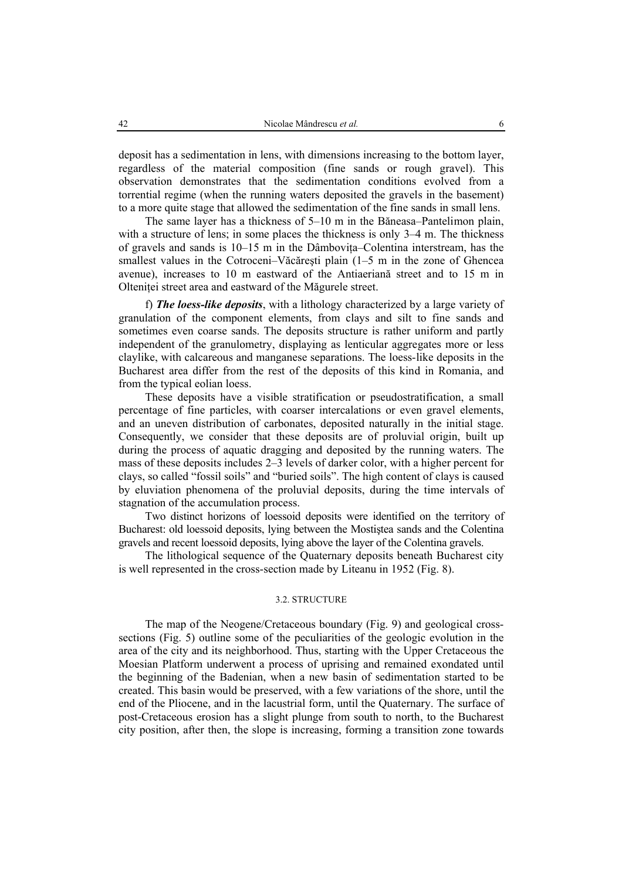deposit has a sedimentation in lens, with dimensions increasing to the bottom layer, regardless of the material composition (fine sands or rough gravel). This observation demonstrates that the sedimentation conditions evolved from a torrential regime (when the running waters deposited the gravels in the basement) to a more quite stage that allowed the sedimentation of the fine sands in small lens.

The same layer has a thickness of 5–10 m in the Băneasa–Pantelimon plain, with a structure of lens; in some places the thickness is only 3–4 m. The thickness of gravels and sands is 10–15 m in the Dâmboviţa–Colentina interstream, has the smallest values in the Cotroceni–Văcăreşti plain (1–5 m in the zone of Ghencea avenue), increases to 10 m eastward of the Antiaeriană street and to 15 m in Oltenitei street area and eastward of the Măgurele street.

f) *The loess-like deposits*, with a lithology characterized by a large variety of granulation of the component elements, from clays and silt to fine sands and sometimes even coarse sands. The deposits structure is rather uniform and partly independent of the granulometry, displaying as lenticular aggregates more or less claylike, with calcareous and manganese separations. The loess-like deposits in the Bucharest area differ from the rest of the deposits of this kind in Romania, and from the typical eolian loess.

These deposits have a visible stratification or pseudostratification, a small percentage of fine particles, with coarser intercalations or even gravel elements, and an uneven distribution of carbonates, deposited naturally in the initial stage. Consequently, we consider that these deposits are of proluvial origin, built up during the process of aquatic dragging and deposited by the running waters. The mass of these deposits includes 2–3 levels of darker color, with a higher percent for clays, so called "fossil soils" and "buried soils". The high content of clays is caused by eluviation phenomena of the proluvial deposits, during the time intervals of stagnation of the accumulation process.

Two distinct horizons of loessoid deposits were identified on the territory of Bucharest: old loessoid deposits, lying between the Mostiştea sands and the Colentina gravels and recent loessoid deposits, lying above the layer of the Colentina gravels.

The lithological sequence of the Quaternary deposits beneath Bucharest city is well represented in the cross-section made by Liteanu in 1952 (Fig. 8).

## 3.2. STRUCTURE

The map of the Neogene/Cretaceous boundary (Fig. 9) and geological crosssections (Fig. 5) outline some of the peculiarities of the geologic evolution in the area of the city and its neighborhood. Thus, starting with the Upper Cretaceous the Moesian Platform underwent a process of uprising and remained exondated until the beginning of the Badenian, when a new basin of sedimentation started to be created. This basin would be preserved, with a few variations of the shore, until the end of the Pliocene, and in the lacustrial form, until the Quaternary. The surface of post-Cretaceous erosion has a slight plunge from south to north, to the Bucharest city position, after then, the slope is increasing, forming a transition zone towards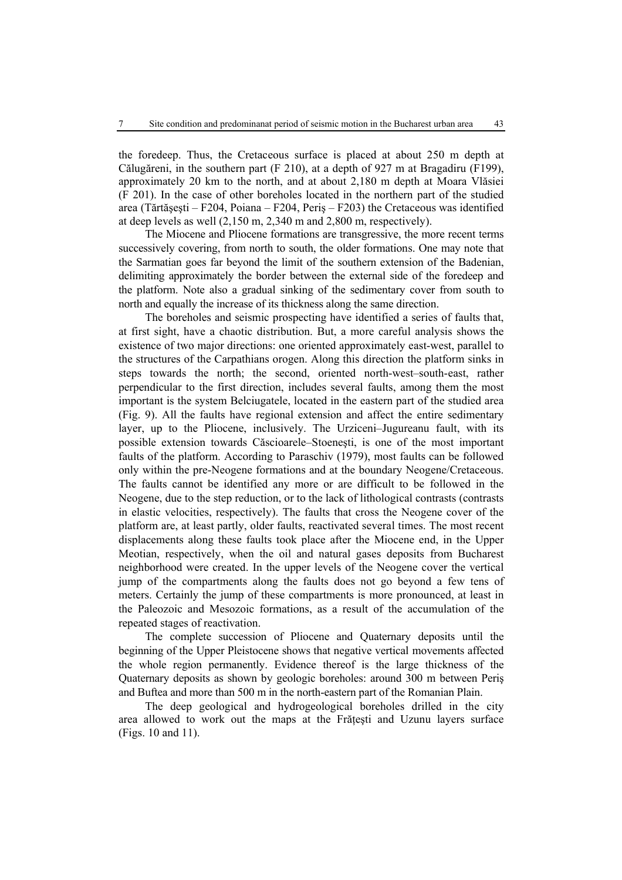the foredeep. Thus, the Cretaceous surface is placed at about 250 m depth at Călugăreni, in the southern part (F 210), at a depth of 927 m at Bragadiru (F199), approximately 20 km to the north, and at about 2,180 m depth at Moara Vlăsiei (F 201). In the case of other boreholes located in the northern part of the studied area (Tărtășești – F204, Poiana – F204, Peris – F203) the Cretaceous was identified at deep levels as well (2,150 m, 2,340 m and 2,800 m, respectively).

The Miocene and Pliocene formations are transgressive, the more recent terms successively covering, from north to south, the older formations. One may note that the Sarmatian goes far beyond the limit of the southern extension of the Badenian, delimiting approximately the border between the external side of the foredeep and the platform. Note also a gradual sinking of the sedimentary cover from south to north and equally the increase of its thickness along the same direction.

The boreholes and seismic prospecting have identified a series of faults that, at first sight, have a chaotic distribution. But, a more careful analysis shows the existence of two major directions: one oriented approximately east-west, parallel to the structures of the Carpathians orogen. Along this direction the platform sinks in steps towards the north; the second, oriented north-west–south-east, rather perpendicular to the first direction, includes several faults, among them the most important is the system Belciugatele, located in the eastern part of the studied area (Fig. 9). All the faults have regional extension and affect the entire sedimentary layer, up to the Pliocene, inclusively. The Urziceni–Jugureanu fault, with its possible extension towards Căscioarele–Stoeneşti, is one of the most important faults of the platform. According to Paraschiv (1979), most faults can be followed only within the pre-Neogene formations and at the boundary Neogene/Cretaceous. The faults cannot be identified any more or are difficult to be followed in the Neogene, due to the step reduction, or to the lack of lithological contrasts (contrasts in elastic velocities, respectively). The faults that cross the Neogene cover of the platform are, at least partly, older faults, reactivated several times. The most recent displacements along these faults took place after the Miocene end, in the Upper Meotian, respectively, when the oil and natural gases deposits from Bucharest neighborhood were created. In the upper levels of the Neogene cover the vertical jump of the compartments along the faults does not go beyond a few tens of meters. Certainly the jump of these compartments is more pronounced, at least in the Paleozoic and Mesozoic formations, as a result of the accumulation of the repeated stages of reactivation.

The complete succession of Pliocene and Quaternary deposits until the beginning of the Upper Pleistocene shows that negative vertical movements affected the whole region permanently. Evidence thereof is the large thickness of the Quaternary deposits as shown by geologic boreholes: around 300 m between Periş and Buftea and more than 500 m in the north-eastern part of the Romanian Plain.

The deep geological and hydrogeological boreholes drilled in the city area allowed to work out the maps at the Frăţeşti and Uzunu layers surface (Figs. 10 and 11).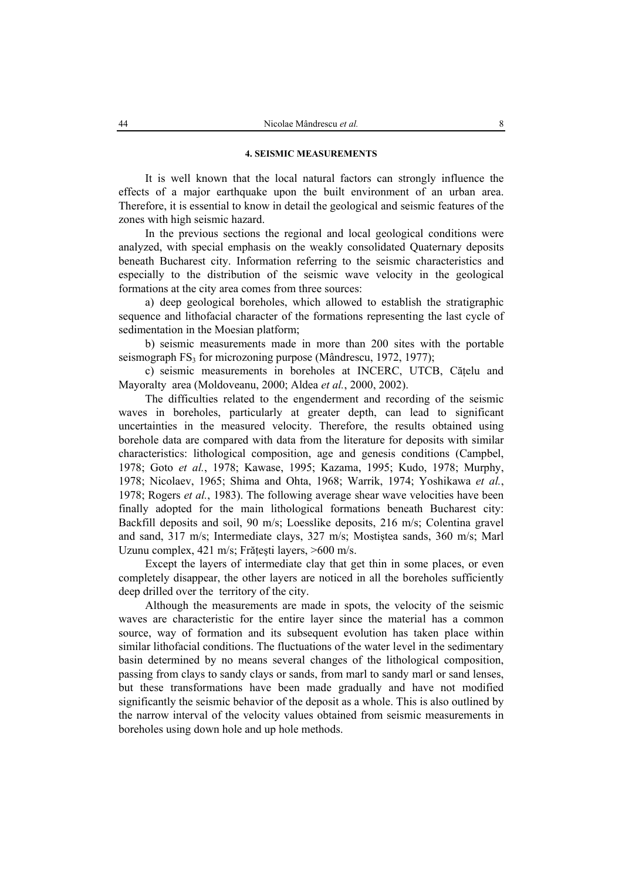## **4. SEISMIC MEASUREMENTS**

It is well known that the local natural factors can strongly influence the effects of a major earthquake upon the built environment of an urban area. Therefore, it is essential to know in detail the geological and seismic features of the zones with high seismic hazard.

In the previous sections the regional and local geological conditions were analyzed, with special emphasis on the weakly consolidated Quaternary deposits beneath Bucharest city. Information referring to the seismic characteristics and especially to the distribution of the seismic wave velocity in the geological formations at the city area comes from three sources:

a) deep geological boreholes, which allowed to establish the stratigraphic sequence and lithofacial character of the formations representing the last cycle of sedimentation in the Moesian platform;

b) seismic measurements made in more than 200 sites with the portable seismograph  $FS_3$  for microzoning purpose (Mândrescu, 1972, 1977);

c) seismic measurements in boreholes at INCERC, UTCB, Cătelu and Mayoralty area (Moldoveanu, 2000; Aldea *et al.*, 2000, 2002).

The difficulties related to the engenderment and recording of the seismic waves in boreholes, particularly at greater depth, can lead to significant uncertainties in the measured velocity. Therefore, the results obtained using borehole data are compared with data from the literature for deposits with similar characteristics: lithological composition, age and genesis conditions (Campbel, 1978; Goto *et al.*, 1978; Kawase, 1995; Kazama, 1995; Kudo, 1978; Murphy, 1978; Nicolaev, 1965; Shima and Ohta, 1968; Warrik, 1974; Yoshikawa *et al.*, 1978; Rogers *et al.*, 1983). The following average shear wave velocities have been finally adopted for the main lithological formations beneath Bucharest city: Backfill deposits and soil, 90 m/s; Loesslike deposits, 216 m/s; Colentina gravel and sand, 317 m/s; Intermediate clays, 327 m/s; Mostiştea sands, 360 m/s; Marl Uzunu complex, 421 m/s; Frătești layers,  $>600$  m/s.

Except the layers of intermediate clay that get thin in some places, or even completely disappear, the other layers are noticed in all the boreholes sufficiently deep drilled over the territory of the city.

Although the measurements are made in spots, the velocity of the seismic waves are characteristic for the entire layer since the material has a common source, way of formation and its subsequent evolution has taken place within similar lithofacial conditions. The fluctuations of the water level in the sedimentary basin determined by no means several changes of the lithological composition, passing from clays to sandy clays or sands, from marl to sandy marl or sand lenses, but these transformations have been made gradually and have not modified significantly the seismic behavior of the deposit as a whole. This is also outlined by the narrow interval of the velocity values obtained from seismic measurements in boreholes using down hole and up hole methods.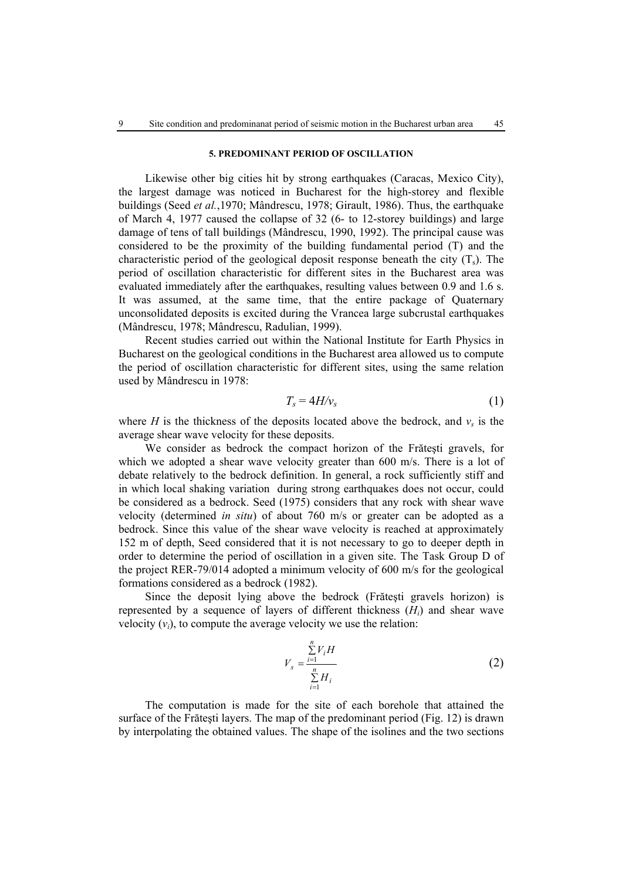## **5. PREDOMINANT PERIOD OF OSCILLATION**

Likewise other big cities hit by strong earthquakes (Caracas, Mexico City), the largest damage was noticed in Bucharest for the high-storey and flexible buildings (Seed *et al.*,1970; Mândrescu, 1978; Girault, 1986). Thus, the earthquake of March 4, 1977 caused the collapse of 32 (6- to 12-storey buildings) and large damage of tens of tall buildings (Mândrescu, 1990, 1992). The principal cause was considered to be the proximity of the building fundamental period (T) and the characteristic period of the geological deposit response beneath the city  $(T_s)$ . The period of oscillation characteristic for different sites in the Bucharest area was evaluated immediately after the earthquakes, resulting values between 0.9 and 1.6 s. It was assumed, at the same time, that the entire package of Quaternary unconsolidated deposits is excited during the Vrancea large subcrustal earthquakes (Mândrescu, 1978; Mândrescu, Radulian, 1999).

Recent studies carried out within the National Institute for Earth Physics in Bucharest on the geological conditions in the Bucharest area allowed us to compute the period of oscillation characteristic for different sites, using the same relation used by Mândrescu in 1978:

$$
T_s = 4H/v_s \tag{1}
$$

where *H* is the thickness of the deposits located above the bedrock, and  $v_s$  is the average shear wave velocity for these deposits.

We consider as bedrock the compact horizon of the Frăteşti gravels, for which we adopted a shear wave velocity greater than 600 m/s. There is a lot of debate relatively to the bedrock definition. In general, a rock sufficiently stiff and in which local shaking variation during strong earthquakes does not occur, could be considered as a bedrock. Seed (1975) considers that any rock with shear wave velocity (determined *in situ*) of about 760 m/s or greater can be adopted as a bedrock. Since this value of the shear wave velocity is reached at approximately 152 m of depth, Seed considered that it is not necessary to go to deeper depth in order to determine the period of oscillation in a given site. The Task Group D of the project RER-79/014 adopted a minimum velocity of 600 m/s for the geological formations considered as a bedrock (1982).

Since the deposit lying above the bedrock (Frăteşti gravels horizon) is represented by a sequence of layers of different thickness (*Hi*) and shear wave velocity  $(v_i)$ , to compute the average velocity we use the relation:

$$
V_s = \frac{\sum_{i=1}^{n} V_i H}{\sum_{i=1}^{n} H_i}
$$
 (2)

The computation is made for the site of each borehole that attained the surface of the Frăteşti layers. The map of the predominant period (Fig. 12) is drawn by interpolating the obtained values. The shape of the isolines and the two sections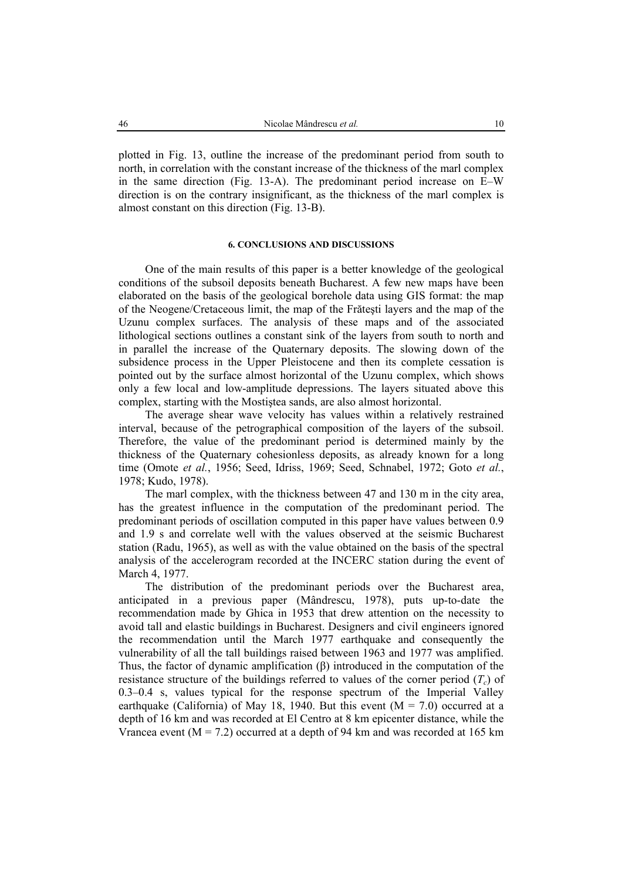plotted in Fig. 13, outline the increase of the predominant period from south to north, in correlation with the constant increase of the thickness of the marl complex in the same direction (Fig. 13-A). The predominant period increase on E–W direction is on the contrary insignificant, as the thickness of the marl complex is almost constant on this direction (Fig. 13-B).

### **6. CONCLUSIONS AND DISCUSSIONS**

One of the main results of this paper is a better knowledge of the geological conditions of the subsoil deposits beneath Bucharest. A few new maps have been elaborated on the basis of the geological borehole data using GIS format: the map of the Neogene/Cretaceous limit, the map of the Frăteşti layers and the map of the Uzunu complex surfaces. The analysis of these maps and of the associated lithological sections outlines a constant sink of the layers from south to north and in parallel the increase of the Quaternary deposits. The slowing down of the subsidence process in the Upper Pleistocene and then its complete cessation is pointed out by the surface almost horizontal of the Uzunu complex, which shows only a few local and low-amplitude depressions. The layers situated above this complex, starting with the Mostiştea sands, are also almost horizontal.

The average shear wave velocity has values within a relatively restrained interval, because of the petrographical composition of the layers of the subsoil. Therefore, the value of the predominant period is determined mainly by the thickness of the Quaternary cohesionless deposits, as already known for a long time (Omote *et al.*, 1956; Seed, Idriss, 1969; Seed, Schnabel, 1972; Goto *et al.*, 1978; Kudo, 1978).

The marl complex, with the thickness between 47 and 130 m in the city area, has the greatest influence in the computation of the predominant period. The predominant periods of oscillation computed in this paper have values between 0.9 and 1.9 s and correlate well with the values observed at the seismic Bucharest station (Radu, 1965), as well as with the value obtained on the basis of the spectral analysis of the accelerogram recorded at the INCERC station during the event of March 4, 1977.

The distribution of the predominant periods over the Bucharest area, anticipated in a previous paper (Mândrescu, 1978), puts up-to-date the recommendation made by Ghica in 1953 that drew attention on the necessity to avoid tall and elastic buildings in Bucharest. Designers and civil engineers ignored the recommendation until the March 1977 earthquake and consequently the vulnerability of all the tall buildings raised between 1963 and 1977 was amplified. Thus, the factor of dynamic amplification (β) introduced in the computation of the resistance structure of the buildings referred to values of the corner period  $(T_c)$  of 0.3–0.4 s, values typical for the response spectrum of the Imperial Valley earthquake (California) of May 18, 1940. But this event  $(M = 7.0)$  occurred at a depth of 16 km and was recorded at El Centro at 8 km epicenter distance, while the Vrancea event ( $M = 7.2$ ) occurred at a depth of 94 km and was recorded at 165 km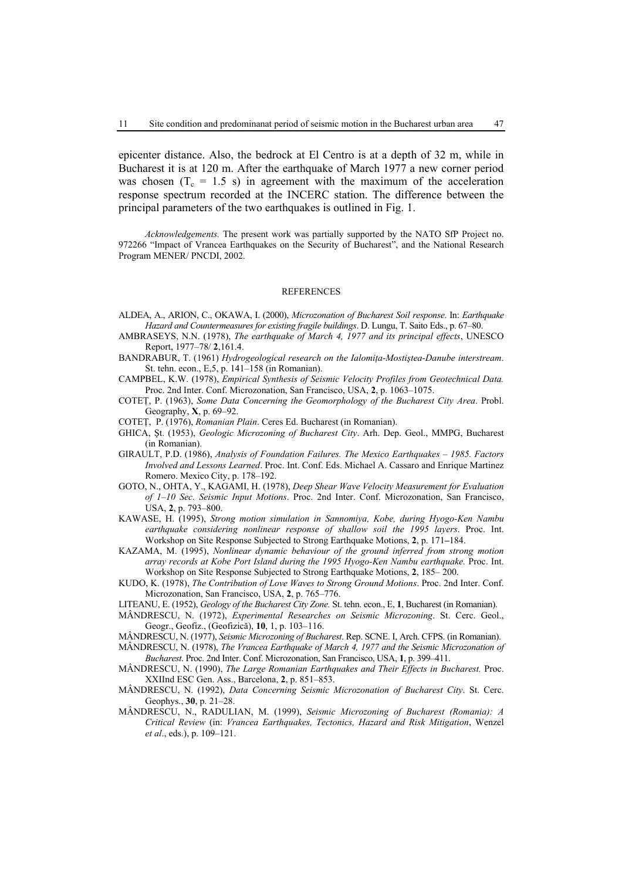epicenter distance. Also, the bedrock at El Centro is at a depth of 32 m, while in Bucharest it is at 120 m. After the earthquake of March 1977 a new corner period was chosen  $(T_c = 1.5 \text{ s})$  in agreement with the maximum of the acceleration response spectrum recorded at the INCERC station. The difference between the principal parameters of the two earthquakes is outlined in Fig. 1.

*Acknowledgements.* The present work was partially supported by the NATO SfP Project no. 972266 "Impact of Vrancea Earthquakes on the Security of Bucharest", and the National Research Program MENER/ PNCDI, 2002.

#### REFERENCES

- ALDEA, A., ARION, C., OKAWA, I. (2000), *Microzonation of Bucharest Soil response*. In: *Earthquake Hazard and Countermeasures for existing fragile buildings*. D. Lungu, T. Saito Eds., p. 67–80.
- AMBRASEYS, N.N. (1978), *The earthquake of March 4, 1977 and its principal effects*, UNESCO Report, 1977–78/ **2**,161.4.
- BANDRABUR, T. (1961) *Hydrogeological research on the Ialomiţa-Mostiştea-Danube interstream*. St. tehn. econ., E,5, p. 141–158 (in Romanian).
- CAMPBEL, K.W. (1978), *Empirical Synthesis of Seismic Velocity Profiles from Geotechnical Data.* Proc. 2nd Inter. Conf. Microzonation, San Francisco, USA, **2**, p. 1063–1075.
- COTEŢ, P. (1963), *Some Data Concerning the Geomorphology of the Bucharest City Area*. Probl. Geography, **X**, p. 69–92.
- COTEŢ, P. (1976), *Romanian Plain*. Ceres Ed. Bucharest (in Romanian).
- GHICA, Şt. (1953), *Geologic Microzoning of Bucharest City*. Arh. Dep. Geol., MMPG, Bucharest (in Romanian).
- GIRAULT, P.D. (1986), *Analysis of Foundation Failures. The Mexico Earthquakes 1985. Factors Involved and Lessons Learned*. Proc. Int. Conf. Eds. Michael A. Cassaro and Enrique Martinez Romero. Mexico City, p. 178–192.
- GOTO, N., OHTA, Y., KAGAMI, H. (1978), *Deep Shear Wave Velocity Measurement for Evaluation of 1–10 Sec. Seismic Input Motions*. Proc. 2nd Inter. Conf. Microzonation, San Francisco, USA, **2**, p. 793–800.
- KAWASE, H. (1995), *Strong motion simulation in Sannomiya, Kobe, during Hyogo-Ken Nambu earthquake considering nonlinear response of shallow soil the 1995 layers*. Proc. Int. Workshop on Site Response Subjected to Strong Earthquake Motions, **2**, p. 171**–**184.
- KAZAMA, M. (1995), *Nonlinear dynamic behaviour of the ground inferred from strong motion array records at Kobe Port Island during the 1995 Hyogo-Ken Nambu earthquake.* Proc. Int. Workshop on Site Response Subjected to Strong Earthquake Motions, **2**, 185– 200.
- KUDO, K. (1978), *The Contribution of Love Waves to Strong Ground Motions*. Proc. 2nd Inter. Conf. Microzonation, San Francisco, USA, **2**, p. 765–776.
- LITEANU, E. (1952), *Geology of the Bucharest City Zone.* St. tehn. econ., E, **1**, Bucharest (in Romanian).
- MÂNDRESCU, N. (1972), *Experimental Researches on Seismic Microzoning*. St. Cerc. Geol., Geogr., Geofiz., (Geofizică), **10**, 1, p. 103–116.
- MÂNDRESCU, N. (1977), *Seismic Microzoning of Bucharest*. Rep. SCNE. I, Arch. CFPS. (in Romanian).
- MÂNDRESCU, N. (1978), *The Vrancea Earthquake of March 4, 1977 and the Seismic Microzonation of Bucharest*. Proc. 2nd Inter. Conf. Microzonation, San Francisco, USA, **1**, p. 399–411.
- MÂNDRESCU, N. (1990), *The Large Romanian Earthquakes and Their Effects in Bucharest.* Proc. XXIInd ESC Gen. Ass., Barcelona, **2**, p. 851–853.
- MÂNDRESCU, N. (1992), *Data Concerning Seismic Microzonation of Bucharest City*. St. Cerc. Geophys., **30**, p. 21–28.
- MÂNDRESCU, N., RADULIAN, M. (1999), *Seismic Microzoning of Bucharest (Romania): A Critical Review* (in: *Vrancea Earthquakes, Tectonics, Hazard and Risk Mitigation*, Wenzel *et al*., eds.), p. 109–121.